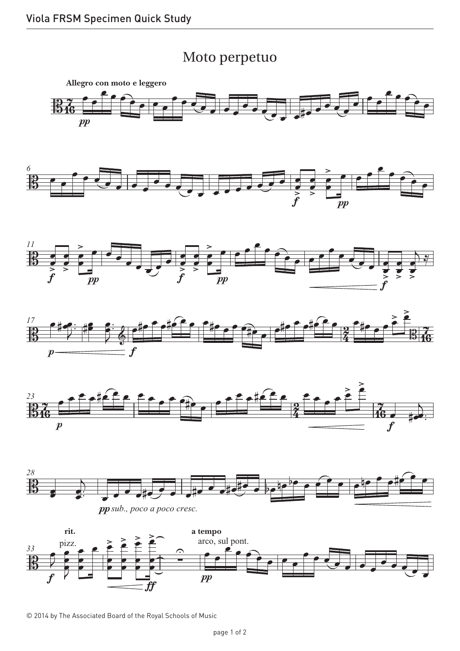## Moto perpetuo Moto perpetuo



<sup>© 2014</sup> by The Associated Board of the Royal Schools of Music